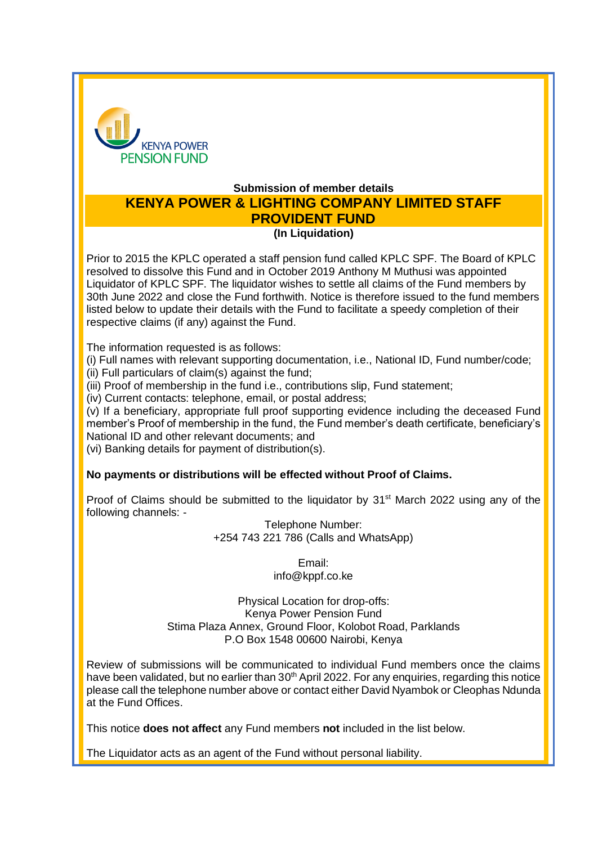

## **Submission of member details KENYA POWER & LIGHTING COMPANY LIMITED STAFF PROVIDENT FUND (In Liquidation)**

Prior to 2015 the KPLC operated a staff pension fund called KPLC SPF. The Board of KPLC resolved to dissolve this Fund and in October 2019 Anthony M Muthusi was appointed Liquidator of KPLC SPF. The liquidator wishes to settle all claims of the Fund members by 30th June 2022 and close the Fund forthwith. Notice is therefore issued to the fund members listed below to update their details with the Fund to facilitate a speedy completion of their respective claims (if any) against the Fund.

The information requested is as follows:

(i) Full names with relevant supporting documentation, i.e., National ID, Fund number/code; (ii) Full particulars of claim(s) against the fund;

(iii) Proof of membership in the fund i.e., contributions slip, Fund statement;

(iv) Current contacts: telephone, email, or postal address;

(v) If a beneficiary, appropriate full proof supporting evidence including the deceased Fund member's Proof of membership in the fund, the Fund member's death certificate, beneficiary's National ID and other relevant documents; and

(vi) Banking details for payment of distribution(s).

## **No payments or distributions will be effected without Proof of Claims.**

Proof of Claims should be submitted to the liquidator by 31<sup>st</sup> March 2022 using any of the following channels: -

Telephone Number: +254 743 221 786 (Calls and WhatsApp)

> Email: info@kppf.co.ke

Physical Location for drop-offs: Kenya Power Pension Fund Stima Plaza Annex, Ground Floor, Kolobot Road, Parklands P.O Box 1548 00600 Nairobi, Kenya

Review of submissions will be communicated to individual Fund members once the claims have been validated, but no earlier than 30<sup>th</sup> April 2022. For any enquiries, regarding this notice please call the telephone number above or contact either David Nyambok or Cleophas Ndunda at the Fund Offices.

This notice **does not affect** any Fund members **not** included in the list below.

The Liquidator acts as an agent of the Fund without personal liability.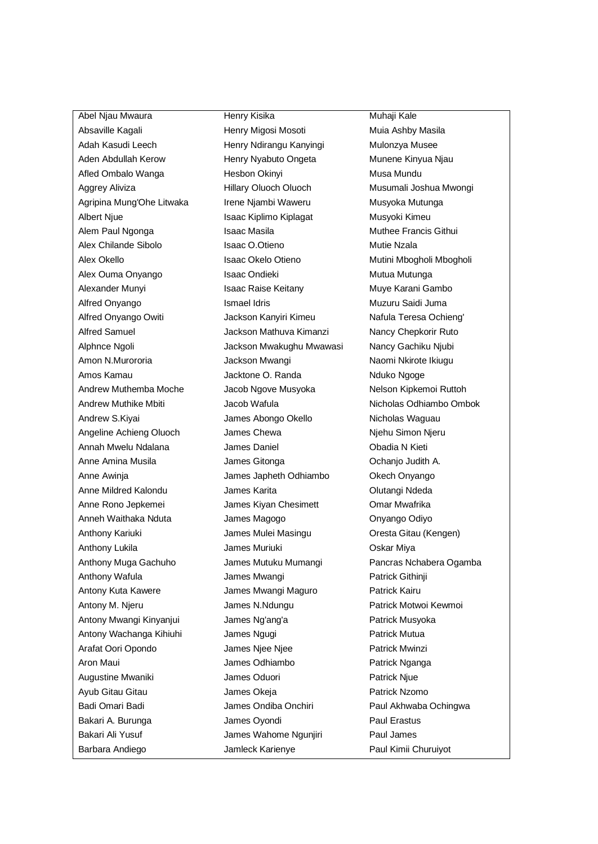Absaville Kagali **Mula Ashby Masila** Henry Migosi Mosoti **Mula Ashby Masila** Adah Kasudi Leech **Henry Ndirangu Kanyingi** Mulonzya Musee Aden Abdullah Kerow Henry Nyabuto Ongeta Munene Kinyua Njau Afled Ombalo Wanga 
Hesbon Okinyi 
Hesbon Othinyi Musa Mundu Aggrey Aliviza **Hillary Oluoch Oluoch** Musumali Joshua Mwongi Agripina Mung'Ohe Litwaka Irene Njambi Waweru Musyoka Mutunga Albert Njue **Isaac Kiplimo Kiplagat** Musyoki Kimeu Alem Paul Ngonga **Isaac Masila** Isaac Masila Muthee Francis Githui Alex Chilande Sibolo **Isaac O.Otieno** Isaac O.Otieno Mutie Nzala Alex Okello **Isaac Okelo Otieno** Mutini Mbogholi Mbogholi Mbogholi Mbogholi Mbogholi Mbogholi Mbogholi Mbogholi Alex Ouma Onyango **Isaac Ondieki** Mutua Mutunga Alexander Munyi Isaac Raise Keitany Muye Karani Gambo Alfred Onyango **Ismael Idris** Muzuru Saidi Juma Alfred Onyango Owiti Jackson Kanyiri Kimeu Nafula Teresa Ochieng' Alfred Samuel Jackson Mathuva Kimanzi Nancy Chepkorir Ruto Alphnce Ngoli Jackson Mwakughu Mwawasi Nancy Gachiku Njubi Amon N.Murororia **National Music Jackson Mwangi** Naomi Nkirote Ikiugu Amos Kamau **Amos Kamau** Jacktone O. Randa Nduko Ngoge Andrew Muthemba Moche Jacob Ngove Musyoka Nelson Kipkemoi Ruttoh Andrew S.Kiyai **Markiya Markiya Abongo Okello** Nicholas Waguau Angeline Achieng Oluoch James Chewa Niehu Simon Njeru Annah Mwelu Ndalana James Daniel Obadia N Kieti Anne Amina Musila **Anne Amina Musila** James Gitonga **Americanism Communist Communist A.** Anne Awinja James Japheth Odhiambo Okech Onyango Anne Mildred Kalondu James Karita Olutangi Ndeda Anne Rono Jepkemei James Kiyan Chesimett Omar Mwafrika Anneh Waithaka Nduta **James Magogo Channel Device Conventsion** Onyango Odiyo Anthony Kariuki James Mulei Masingu Oresta Gitau (Kengen) Anthony Lukila **Anthony Lukila** James Muriuki **COSKAR** Miya Anthony Wafula **Manufath Communist Communist Communist Communist Communist Communist Communist Communist Communist Communist Communist Communist Communist Communist Communist Communist Communist Communist Communist Communi** Antony Kuta Kawere James Mwangi Maguro Patrick Kairu Antony M. Njeru James N.Ndungu Patrick Motwoi Kewmoi Antony Mwangi Kinyanjui James Ng'ang'a Patrick Musyoka Antony Wachanga Kihiuhi James Ngugi Patrick Mutua Arafat Oori Opondo **James Njee Njee Patrick Mwinzi** Aron Maui **Aron Maui** James Odhiambo **Patrick Nganga** Augustine Mwaniki **Augustine Mwaniki** James Oduori **Patrick Njue** Ayub Gitau Gitau James Okeja Patrick Nzomo Badi Omari Badi **Marki dan James Ondiba Onchiri** Paul Akhwaba Ochingwa Bakari A. Burunga **International Studies** James Oyondi **Paul Erastus** Paul Erastus Bakari Ali Yusuf **Institute Internal State James Wahome Ngunjiri** Paul James Barbara Andiego Jamleck Karienye Paul Kimii Churuiyot

Abel Njau Mwaura **Muhaji Kale** Henry Kisika **Muhaji Kale** 

Andrew Muthike Mbiti **Micholas Odhiambo Ombok** Jacob Wafula Nicholas Odhiambo Ombok Anthony Muga Gachuho James Mutuku Mumangi Pancras Nchabera Ogamba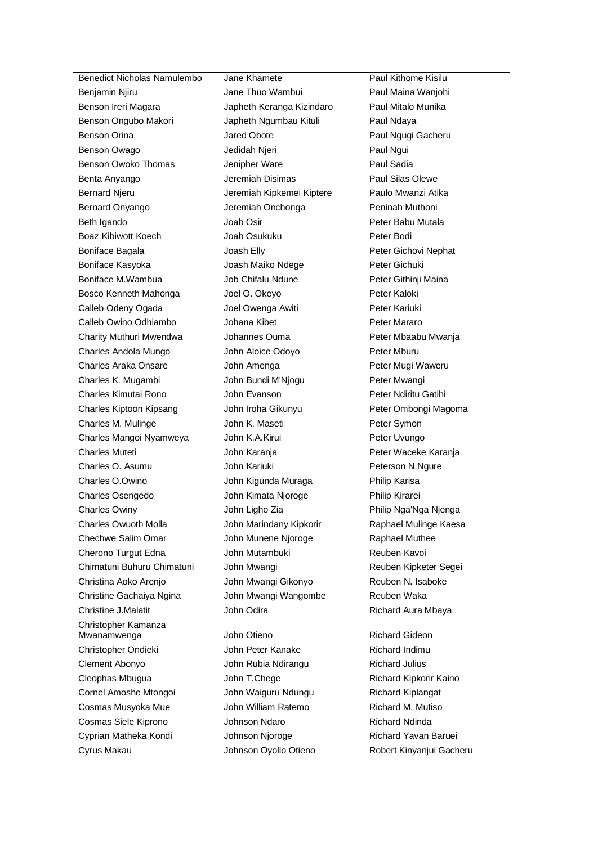Benjamin Njiru **Ingkawa Jane Thuo Wambui** Paul Maina Wanjohi Benson Ireri Magara Japheth Keranga Kizindaro Paul Mitalo Munika Benson Ongubo Makori Japheth Ngumbau Kituli Paul Ndaya Benson Orina **Marko Lared Obote** Paul Ngugi Gacheru Benson Owago **Benson Communist Communist Communist Communist Communist Communist Communist Communist Communist Communist Communist Communist Paul Ngui** Benson Owoko Thomas **Jenipher Ware Paul Sadia** Benta Anyango **Internet Anyango** Jeremiah Disimas **Paul Silas Olewe** Bernard Njeru Jeremiah Kipkemei Kiptere Paulo Mwanzi Atika Bernard Onyango Jeremiah Onchonga Peninah Muthoni Beth Igando **Company Strategies Company Joab Osir** Peter Babu Mutala Boaz Kibiwott Koech Joab Osukuku Peter Bodi Boniface Bagala Joash Elly Peter Gichovi Nephat Boniface Kasyoka Joash Maiko Ndege Peter Gichuki Boniface M.Wambua Job Chifalu Ndune Peter Githinji Maina Bosco Kenneth Mahonga Joel O. Okeyo Peter Kaloki Calleb Odeny Ogada Joel Owenga Awiti Peter Kariuki Calleb Owino Odhiambo **Johana Kibet** Peter Mararo Charity Muthuri Mwendwa Johannes Ouma Peter Mbaabu Mwanja Charles Andola Mungo John Aloice Odoyo Peter Mburu Charles Araka Onsare **John Amenga** Peter Mugi Waweru Charles K. Mugambi John Bundi M'Njogu Peter Mwangi Charles Kimutai Rono John Evanson Peter Ndiritu Gatihi Charles Kiptoon Kipsang John Iroha Gikunyu Peter Ombongi Magoma Charles M. Mulinge John K. Maseti Peter Symon Charles Mangoi Nyamweya John K.A.Kirui Peter Uvungo Charles Muteti John Karanja Peter Waceke Karanja Charles O. Asumu John Kariuki Peterson N.Ngure Charles O.Owino John Kigunda Muraga Philip Karisa Charles Osengedo John Kimata Njoroge Philip Kirarei Charles Owiny John Ligho Zia Philip Nga'Nga Njenga Charles Owuoth Molla John Marindany Kipkorir Raphael Mulinge Kaesa Chechwe Salim Omar **John Munene Njoroge** Raphael Muthee Cherono Turgut Edna **John Mutambuki** Reuben Kavoi Chimatuni Buhuru Chimatuni John Mwangi Reuben Kipketer Segei Christina Aoko Arenjo John Mwangi Gikonyo Reuben N. Isaboke Christine Gachaiya Ngina John Mwangi Wangombe Reuben Waka Christine J.Malatit **Marking Strute J.Malatit** John Odira **Marking Richard Aura Mbaya** Christopher Kamanza Mwanamwenga John Otieno Richard Gideon Christopher Ondieki John Peter Kanake Richard Indimu Clement Abonyo John Rubia Ndirangu Richard Julius Cleophas Mbugua **Matu John T.Chege** Richard Kipkorir Kaino Cornel Amoshe Mtongoi John Waiguru Ndungu Richard Kiplangat Cosmas Musyoka Mue **John William Ratemo** Richard M. Mutiso Cosmas Siele Kiprono Johnson Ndaro Richard Ndinda Cyprian Matheka Kondi **Johnson Njoroge** Richard Yavan Baruei Cyrus Makau Johnson Oyollo Otieno Robert Kinyanjui Gacheru

Benedict Nicholas Namulembo Jane Khamete Paul Kithome Kisilu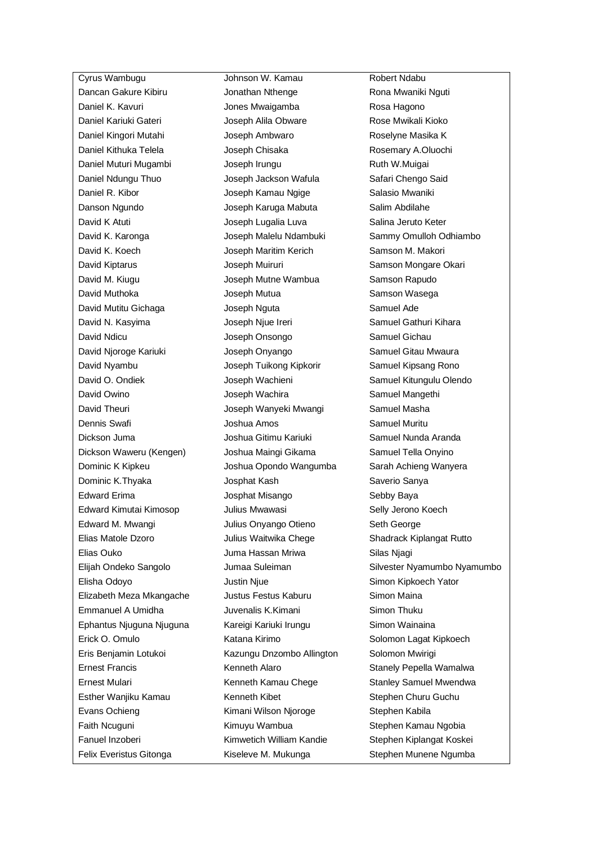Dancan Gakure Kibiru **Institute dan Jonathan Nthenge** Rona Mwaniki Nguti Daniel K. Kavuri Jones Mwaigamba Rosa Hagono Daniel Kariuki Gateri **Manusia India Alikuware Manusi Alikuware** Rose Mwikali Kioko Daniel Kingori Mutahi **Mutahi** Joseph Ambwaro **Roselyne Masika K** Daniel Kithuka Telela **Joseph Chisaka** Rosemary A.Oluochi Daniel Muturi Mugambi **Joseph Irungu Cancer Action** Ruth W.Muigai Daniel Ndungu Thuo **Joseph Jackson Wafula** Safari Chengo Said Daniel R. Kibor Joseph Kamau Ngige Salasio Mwaniki Danson Ngundo Joseph Karuga Mabuta Salim Abdilahe David K Atuti **Voseph Lugalia Luva** Salina Jeruto Keter David K. Koech Joseph Maritim Kerich Samson M. Makori David Kiptarus **Charles II Samson Muiruri** Samson Mongare Okari David M. Kiugu Joseph Mutne Wambua Samson Rapudo David Muthoka Joseph Mutua Samson Wasega David Mutitu Gichaga **Samuel Ade** Joseph Nguta Samuel Ade David N. Kasyima Joseph Njue Ireri Samuel Gathuri Kihara David Ndicu Joseph Onsongo Samuel Gichau David Njoroge Kariuki **Joseph Onyango** Samuel Gitau Mwaura David Nyambu Joseph Tuikong Kipkorir Samuel Kipsang Rono David O. Ondiek **Volution Charlotter Joseph Wachieni** Samuel Kitungulu Olendo David Owino Joseph Wachira Samuel Mangethi David Theuri **National State State Joseph Wanyeki Mwangi** Samuel Masha Dennis Swafi Joshua Amos Samuel Muritu Dickson Juma Joshua Gitimu Kariuki Samuel Nunda Aranda Dickson Waweru (Kengen) Joshua Maingi Gikama Samuel Tella Onyino Dominic K Kipkeu Joshua Opondo Wangumba Sarah Achieng Wanyera Dominic K.Thyaka  $J$ osphat Kash Saverio Sanya Edward Erima Josphat Misango Sebby Baya Edward Kimutai Kimosop Julius Mwawasi Selly Jerono Koech Edward M. Mwangi Julius Onyango Otieno Seth George Elias Matole Dzoro Julius Waitwika Chege Shadrack Kiplangat Rutto Elias Ouko Juma Hassan Mriwa Silas Njagi Elisha Odoyo Justin Njue Simon Kipkoech Yator Elizabeth Meza Mkangache Justus Festus Kaburu Simon Maina Emmanuel A Umidha Juvenalis K.Kimani Simon Thuku Ephantus Njuguna Njuguna Kareigi Kariuki Irungu Simon Wainaina Erick O. Omulo Katana Kirimo Solomon Lagat Kipkoech Eris Benjamin Lotukoi Kazungu Dnzombo Allington Solomon Mwirigi Ernest Francis **Kenneth Alaro Kenneth Alaro** Stanely Pepella Wamalwa Ernest Mulari **Kenneth Kamau Chege** Stanley Samuel Mwendwa Esther Wanjiku Kamau Kenneth Kibet Stephen Churu Guchu Evans Ochieng The Kimani Wilson Njoroge Stephen Kabila Faith Ncuguni Kimuyu Wambua Stephen Kamau Ngobia Fanuel Inzoberi Kimwetich William Kandie Stephen Kiplangat Koskei Felix Everistus Gitonga **Kiseleve M. Mukunga** Stephen Munene Ngumba

Cyrus Wambugu Johnson W. Kamau Robert Ndabu

David K. Karonga Joseph Malelu Ndambuki Sammy Omulloh Odhiambo Elijah Ondeko Sangolo Jumaa Suleiman Silvester Nyamumbo Nyamumbo